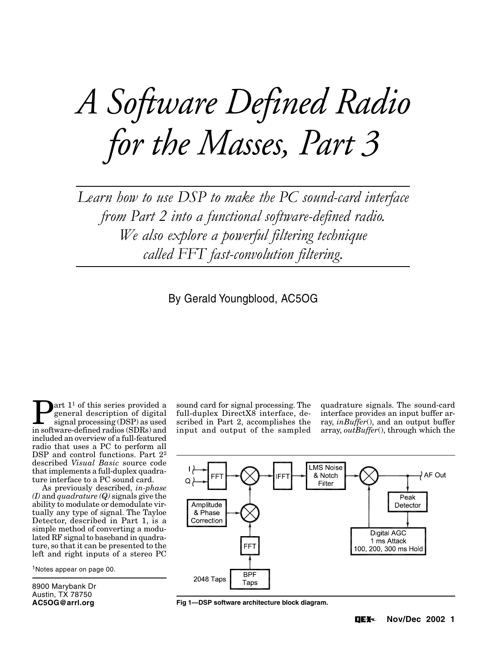# *A Software Defined Radio for the Masses, Part 3*

*Learn how to use DSP to make the PC sound-card interface from Part 2 into a functional software-defined radio. We also explore a powerful filtering technique called FFT fast-convolution filtering.*

By Gerald Youngblood, AC5OG

**Part 1<sup>1</sup>** of this series provided a general description of digital signal processing (DSP) as used general description of digital in software-defined radios (SDRs) and included an overview of a full-featured radio that uses a PC to perform all DSP and control functions. Part  $2^2$ described *Visual Basic* source code that implements a full-duplex quadrature interface to a PC sound card.

As previously described, *in-phase (I)* and *quadrature (Q)* signals give the ability to modulate or demodulate virtually any type of signal. The Tayloe Detector, described in Part 1, is a simple method of converting a modulated RF signal to baseband in quadrature, so that it can be presented to the left and right inputs of a stereo PC

1Notes appear on page 00.

8900 Marybank Dr Austin, TX 78750 **AC5OG@arrl.org**

sound card for signal processing. The full-duplex DirectX8 interface, described in Part 2, accomplishes the input and output of the sampled quadrature signals. The sound-card interface provides an input buffer array, *inBuffer*(), and an output buffer array, *outBuffer*(), through which the



**Fig 1—DSP software architecture block diagram.**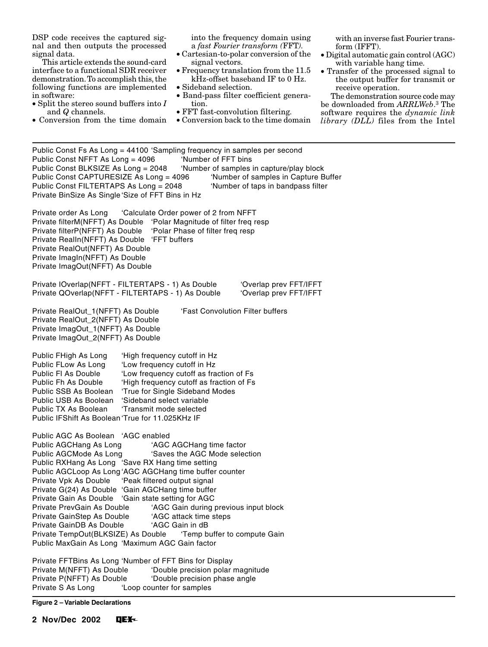DSP code receives the captured signal and then outputs the processed signal data.

This article extends the sound-card interface to a functional SDR receiver demonstration. To accomplish this, the following functions are implemented in software:

- Split the stereo sound buffers into *I* and *Q* channels.
- Conversion from the time domain

into the frequency domain using a *fast Fourier transform (*FFT*).*

- Cartesian-to-polar conversion of the signal vectors.
- Frequency translation from the 11.5 kHz-offset baseband IF to 0 Hz.
- Sideband selection.
- Band-pass filter coefficient generation.
- FFT fast-convolution filtering.
- Conversion back to the time domain

with an inverse fast Fourier transform (IFFT).

- Digital automatic gain control (AGC) with variable hang time.
- Transfer of the processed signal to the output buffer for transmit or receive operation.

The demonstration source code may be downloaded from *ARRLWeb*. 3 The software requires the *dynamic link library (DLL)* files from the Intel

| Public Const Fs As Long = 44100 'Sampling frequency in samples per second<br>Public Const NFFT As Long = 4096<br>Public Const BLKSIZE As Long = 2048<br>Public Const CAPTURESIZE As Long = 4096<br>Public Const FILTERTAPS As Long = 2048<br>Private BinSize As Single 'Size of FFT Bins in Hz                                                                                                                                                                                                                                                                                                                                                                                                                                              | 'Number of FFT bins                                                                                                                                                                                                                           | 'Number of samples in capture/play block<br>'Number of samples in Capture Buffer<br>'Number of taps in bandpass filter |
|---------------------------------------------------------------------------------------------------------------------------------------------------------------------------------------------------------------------------------------------------------------------------------------------------------------------------------------------------------------------------------------------------------------------------------------------------------------------------------------------------------------------------------------------------------------------------------------------------------------------------------------------------------------------------------------------------------------------------------------------|-----------------------------------------------------------------------------------------------------------------------------------------------------------------------------------------------------------------------------------------------|------------------------------------------------------------------------------------------------------------------------|
| Private order As Long<br>Private filterM(NFFT) As Double 'Polar Magnitude of filter freq resp<br>Private filterP(NFFT) As Double<br>Private RealIn(NFFT) As Double<br>Private RealOut(NFFT) As Double<br>Private ImagIn(NFFT) As Double<br>Private ImagOut(NFFT) As Double                                                                                                                                                                                                                                                                                                                                                                                                                                                                  | 'Calculate Order power of 2 from NFFT<br>'Polar Phase of filter freq resp<br>'FFT buffers                                                                                                                                                     |                                                                                                                        |
| Private IOverlap(NFFT - FILTERTAPS - 1) As Double<br>Private QOverlap(NFFT - FILTERTAPS - 1) As Double                                                                                                                                                                                                                                                                                                                                                                                                                                                                                                                                                                                                                                      |                                                                                                                                                                                                                                               | 'Overlap prev FFT/IFFT<br>'Overlap prev FFT/IFFT                                                                       |
| Private RealOut_1(NFFT) As Double<br>'Fast Convolution Filter buffers<br>Private RealOut_2(NFFT) As Double<br>Private ImagOut_1(NFFT) As Double<br>Private ImagOut_2(NFFT) As Double                                                                                                                                                                                                                                                                                                                                                                                                                                                                                                                                                        |                                                                                                                                                                                                                                               |                                                                                                                        |
| Public FHigh As Long<br>Public FLow As Long<br>Public FI As Double<br>Public Fh As Double<br>Public SSB As Boolean<br>Public USB As Boolean<br>Public TX As Boolean<br>Public IFShift As Boolean 'True for 11.025KHz IF                                                                                                                                                                                                                                                                                                                                                                                                                                                                                                                     | 'High frequency cutoff in Hz<br>'Low frequency cutoff in Hz<br>'Low frequency cutoff as fraction of Fs<br>'High frequency cutoff as fraction of Fs<br>'True for Single Sideband Modes<br>'Sideband select variable<br>'Transmit mode selected |                                                                                                                        |
| Public AGC As Boolean<br>'AGC enabled<br>Public AGCHang As Long<br>'AGC AGCHang time factor<br>'Saves the AGC Mode selection<br>Public AGCMode As Long<br>Public RXHang As Long 'Save RX Hang time setting<br>Public AGCLoop As Long 'AGC AGCHang time buffer counter<br>Private Vpk As Double 'Peak filtered output signal<br>Private G(24) As Double 'Gain AGCHang time buffer<br>Private Gain As Double 'Gain state setting for AGC<br>'AGC Gain during previous input block<br>Private PrevGain As Double<br>Private GainStep As Double<br>'AGC attack time steps<br>'AGC Gain in dB<br>Private GainDB As Double<br>Private TempOut(BLKSIZE) As Double  'Temp buffer to compute Gain<br>Public MaxGain As Long 'Maximum AGC Gain factor |                                                                                                                                                                                                                                               |                                                                                                                        |
| Private FFTBins As Long 'Number of FFT Bins for Display<br>Private M(NFFT) As Double<br>Private P(NFFT) As Double                                                                                                                                                                                                                                                                                                                                                                                                                                                                                                                                                                                                                           | 'Double precision polar magnitude<br>'Double precision phase angle                                                                                                                                                                            |                                                                                                                        |

Private S As Long 'Loop counter for samples

# **Figure 2 – Variable Declarations**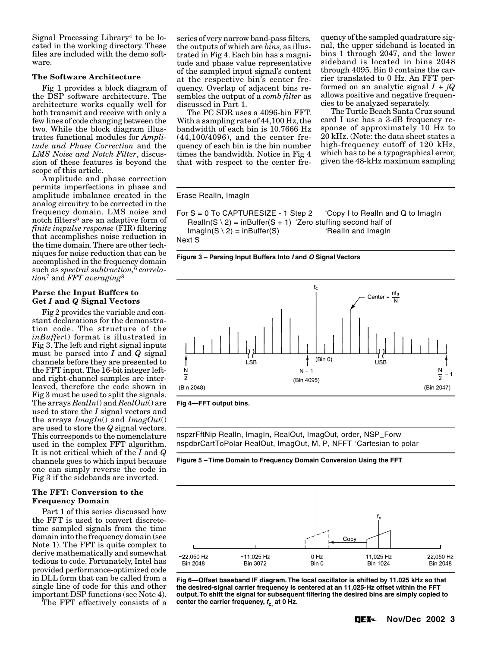Signal Processing Library4 to be located in the working directory. These files are included with the demo software.

#### **The Software Architecture**

Fig 1 provides a block diagram of the DSP software architecture. The architecture works equally well for both transmit and receive with only a few lines of code changing between the two. While the block diagram illustrates functional modules for *Amplitude and Phase Correction* and the *LMS Noise and Notch Filter*, discussion of these features is beyond the scope of this article.

Amplitude and phase correction permits imperfections in phase and amplitude imbalance created in the analog circuitry to be corrected in the frequency domain. LMS noise and notch filters<sup>5</sup> are an adaptive form of *finite impulse response* (FIR) filtering that accomplishes noise reduction in the time domain. There are other techniques for noise reduction that can be accomplished in the frequency domain such as *spectral subtraction,*6 c*orrelation*7 and *FFT averaging*<sup>8</sup>

#### **Parse the Input Buffers to Get** *I* **and** *Q* **Signal Vectors**

Fig 2 provides the variable and constant declarations for the demonstration code. The structure of the *inBuffer*() format is illustrated in Fig 3. The left and right signal inputs must be parsed into *I* and *Q* signal channels before they are presented to the FFT input. The 16-bit integer leftand right-channel samples are interleaved, therefore the code shown in Fig 3 must be used to split the signals. The arrays *RealIn*() and *RealOut*() are used to store the *I* signal vectors and the arrays *ImagIn*() and *ImagOut*() are used to store the *Q* signal vectors. This corresponds to the nomenclature used in the complex FFT algorithm. It is not critical which of the *I* and *Q* channels goes to which input because one can simply reverse the code in Fig 3 if the sidebands are inverted.

# **The FFT: Conversion to the Frequency Domain**

Part 1 of this series discussed how the FFT is used to convert discretetime sampled signals from the time domain into the frequency domain (see Note 1). The FFT is quite complex to derive mathematically and somewhat tedious to code. Fortunately, Intel has provided performance-optimized code in DLL form that can be called from a single line of code for this and other important DSP functions (see Note 4).

The FFT effectively consists of a

series of very narrow band-pass filters, the outputs of which are *bins,* as illustrated in Fig 4. Each bin has a magnitude and phase value representative of the sampled input signal's content at the respective bin's center frequency. Overlap of adjacent bins resembles the output of a *comb filter* as discussed in Part 1.

The PC SDR uses a 4096-bin FFT. With a sampling rate of 44,100 Hz, the bandwidth of each bin is 10.7666 Hz (44,100/4096), and the center frequency of each bin is the bin number times the bandwidth. Notice in Fig 4 that with respect to the center frequency of the sampled quadrature signal, the upper sideband is located in bins 1 through 2047, and the lower sideband is located in bins 2048 through 4095. Bin 0 contains the carrier translated to 0 Hz. An FFT performed on an analytic signal  $I + jQ$ allows positive and negative frequencies to be analyzed separately.

The Turtle Beach Santa Cruz sound card I use has a 3-dB frequency response of approximately 10 Hz to 20 kHz. (Note: the data sheet states a high-frequency cutoff of 120 kHz, which has to be a typographical error, given the 48-kHz maximum sampling

#### Erase RealIn, ImagIn

For S = 0 To CAPTURESIZE - 1 Step 2 'Copy I to RealIn and Q to ImagIn RealIn( $S \setminus 2$ ) = inBuffer( $S + 1$ ) 'Zero stuffing second half of  $ImagIn(S \setminus 2) = inBuffer(S)$  'RealIn and ImagIn Next S





**Fig 4—FFT output bins.**

nspzrFftNip RealIn, ImagIn, RealOut, ImagOut, order, NSP\_Forw nspdbrCartToPolar RealOut, ImagOut, M, P, NFFT 'Cartesian to polar





**Fig 6—Offset baseband IF diagram. The local oscillator is shifted by 11.025 kHz so that the desired-signal carrier frequency is centered at an 11,025-Hz offset within the FFT output. To shift the signal for subsequent filtering the desired bins are simply copied to center the carrier frequency, fc, at 0 Hz.**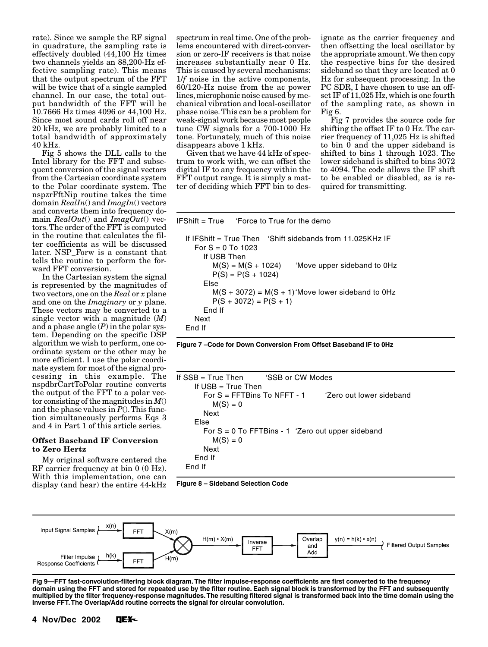rate). Since we sample the RF signal in quadrature, the sampling rate is effectively doubled (44,100 Hz times two channels yields an 88,200-Hz effective sampling rate). This means that the output spectrum of the FFT will be twice that of a single sampled channel. In our case, the total output bandwidth of the FFT will be 10.7666 Hz times 4096 or 44,100 Hz. Since most sound cards roll off near 20 kHz, we are probably limited to a total bandwidth of approximately 40 kHz.

Fig 5 shows the DLL calls to the Intel library for the FFT and subsequent conversion of the signal vectors from the Cartesian coordinate system to the Polar coordinate system. The nspzrFftNip routine takes the time domain *RealIn*() and *ImagIn*() vectors and converts them into frequency domain *RealOut*() and *ImagOut*() vectors. The order of the FFT is computed in the routine that calculates the filter coefficients as will be discussed later. NSP\_Forw is a constant that tells the routine to perform the forward FFT conversion.

In the Cartesian system the signal is represented by the magnitudes of two vectors, one on the *Real* or *x* plane and one on the *Imaginary* or *y* plane. These vectors may be converted to a single vector with a magnitude (*M*) and a phase angle (*P*) in the polar system. Depending on the specific DSP algorithm we wish to perform, one coordinate system or the other may be more efficient. I use the polar coordinate system for most of the signal processing in this example. The nspdbrCartToPolar routine converts the output of the FFT to a polar vector consisting of the magnitudes in *M*() and the phase values in  $P()$ . This function simultaneously performs Eqs 3 and 4 in Part 1 of this article series.

### **Offset Baseband IF Conversion to Zero Hertz**

My original software centered the RF carrier frequency at bin 0 (0 Hz). With this implementation, one can display (and hear) the entire 44-kHz

spectrum in real time. One of the problems encountered with direct-conversion or zero-IF receivers is that noise increases substantially near 0 Hz. This is caused by several mechanisms: 1/*f* noise in the active components, 60/120-Hz noise from the ac power lines, microphonic noise caused by mechanical vibration and local-oscillator phase noise. This can be a problem for weak-signal work because most people tune CW signals for a 700-1000 Hz tone. Fortunately, much of this noise disappears above 1 kHz.

Given that we have 44 kHz of spectrum to work with, we can offset the digital IF to any frequency within the FFT output range. It is simply a matter of deciding which FFT bin to designate as the carrier frequency and then offsetting the local oscillator by the appropriate amount. We then copy the respective bins for the desired sideband so that they are located at 0 Hz for subsequent processing. In the PC SDR, I have chosen to use an offset IF of 11,025 Hz, which is one fourth of the sampling rate, as shown in Fig 6.

Fig 7 provides the source code for shifting the offset IF to 0 Hz. The carrier frequency of 11,025 Hz is shifted to bin  $\overline{0}$  and the upper sideband is shifted to bins 1 through 1023. The lower sideband is shifted to bins 3072 to 4094. The code allows the IF shift to be enabled or disabled, as is required for transmitting.

| $IFShift = True$ | 'Force to True for the demo |  |
|------------------|-----------------------------|--|
|                  |                             |  |

```
 If IFShift = True Then 'Shift sidebands from 11.025KHz IF
 For S = 0 To 1023
     If USB Then
      M(S) = M(S + 1024) 'Move upper sideband to OHz
      P(S) = P(S + 1024) Else
      M(S + 3072) = M(S + 1)'Move lower sideband to OHz
      P(S + 3072) = P(S + 1) End If
  Next
End If
```
**Figure 7 –Code for Down Conversion From Offset Baseband IF to 0Hz**

```
If SSB = True Then 'SSB or CW Modes
     If USB = True Then
       For S = FFTBins To NFFT - 1 'Zero out lower sideband
        M(S) = 0 Next
     Else
       For S = 0 To FFTBins - 1 'Zero out upper sideband
        M(S) = 0 Next
     End If
  End If
```

```
Figure 8 – Sideband Selection Code
```


**Fig 9—FFT fast-convolution-filtering block diagram. The filter impulse-response coefficients are first converted to the frequency domain using the FFT and stored for repeated use by the filter routine. Each signal block is transformed by the FFT and subsequently multiplied by the filter frequency-response magnitudes. The resulting filtered signal is transformed back into the time domain using the inverse FFT. The Overlap/Add routine corrects the signal for circular convolution.**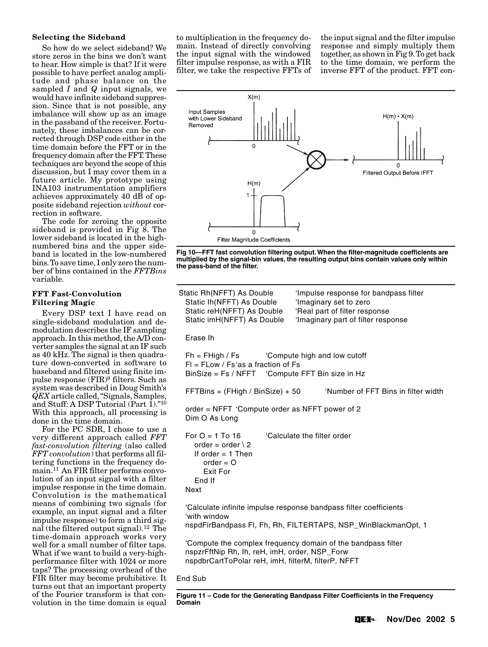#### **Selecting the Sideband**

So how do we select sideband? We store zeros in the bins we don't want to hear. How simple is that? If it were possible to have perfect analog amplitude and phase balance on the sampled *I* and *Q* input signals, we would have infinite sideband suppression. Since that is not possible, any imbalance will show up as an image in the passband of the receiver. Fortunately, these imbalances can be corrected through DSP code either in the time domain before the FFT or in the frequency domain after the FFT. These techniques are beyond the scope of this discussion, but I may cover them in a future article. My prototype using INA103 instrumentation amplifiers achieves approximately 40 dB of opposite sideband rejection *without* correction in software.

The code for zeroing the opposite sideband is provided in Fig 8. The lower sideband is located in the highnumbered bins and the upper sideband is located in the low-numbered bins. To save time, I only zero the number of bins contained in the *FFTBins* variable.

#### **FFT Fast-Convolution Filtering Magic**

Every DSP text I have read on single-sideband modulation and demodulation describes the IF sampling approach. In this method, the A/D converter samples the signal at an IF such as 40 kHz. The signal is then quadrature down-converted in software to baseband and filtered using finite impulse response (FIR)9 filters. Such as system was described in Doug Smith's *QEX* article called, "Signals, Samples, and Stuff: A DSP Tutorial (Part 1)."10 With this approach, all processing is done in the time domain.

For the PC SDR, I chose to use a very different approach called *FFT fast-convolution filtering* (also called *FFT convolution*) that performs all filtering functions in the frequency domain.11 An FIR filter performs convolution of an input signal with a filter impulse response in the time domain. Convolution is the mathematical means of combining two signals (for example, an input signal and a filter impulse response) to form a third signal (the filtered output signal).12 The time-domain approach works very well for a small number of filter taps. What if we want to build a very-highperformance filter with 1024 or more taps? The processing overhead of the FIR filter may become prohibitive. It turns out that an important property of the Fourier transform is that convolution in the time domain is equal

to multiplication in the frequency domain. Instead of directly convolving the input signal with the windowed filter impulse response, as with a FIR filter, we take the respective FFTs of the input signal and the filter impulse response and simply multiply them together, as shown in Fig 9. To get back to the time domain, we perform the inverse FFT of the product. FFT con-



**Fig 10—FFT fast convolution filtering output. When the filter-magnitude coefficients are multiplied by the signal-bin values, the resulting output bins contain values only within the pass-band of the filter.**

| Static Rh(NFFT) As Double<br>Static Ih(NFFT) As Double<br>Static reH(NFFT) As Double<br>Static imH(NFFT) As Double                                 | 'Impulse response for bandpass filter<br>'Imaginary set to zero<br>'Real part of filter response<br>'Imaginary part of filter response |  |
|----------------------------------------------------------------------------------------------------------------------------------------------------|----------------------------------------------------------------------------------------------------------------------------------------|--|
| Erase Ih                                                                                                                                           |                                                                                                                                        |  |
| $Fh = FHigh / Fs$<br>$FI = FLow / Fs' as a fraction of Fs$<br>BinSize = Fs / NFFT 'Compute FFT Bin size in Hz                                      | 'Compute high and low cutoff                                                                                                           |  |
| $FFTBins = (FHigh / BinSize) + 50$                                                                                                                 | 'Number of FFT Bins in filter width                                                                                                    |  |
| order = NFFT 'Compute order as NFFT power of 2<br>Dim O As Long                                                                                    |                                                                                                                                        |  |
| For $O = 1$ To 16<br>order = order $\angle$ 2<br>If order $= 1$ Then<br>$order = O$<br>Exit For<br>End If<br>Next                                  | 'Calculate the filter order                                                                                                            |  |
| 'Calculate infinite impulse response bandpass filter coefficients<br>'with window<br>nspdFirBandpass FI, Fh, Rh, FILTERTAPS, NSP_WinBlackmanOpt, 1 |                                                                                                                                        |  |
| nspzrFftNip Rh, Ih, reH, imH, order, NSP_Forw<br>nspdbrCartToPolar reH, imH, filterM, filterP, NFFT                                                | 'Compute the complex frequency domain of the bandpass filter                                                                           |  |
| End Sub                                                                                                                                            |                                                                                                                                        |  |

**Figure 11 – Code for the Generating Bandpass Filter Coefficients in the Frequency Domain**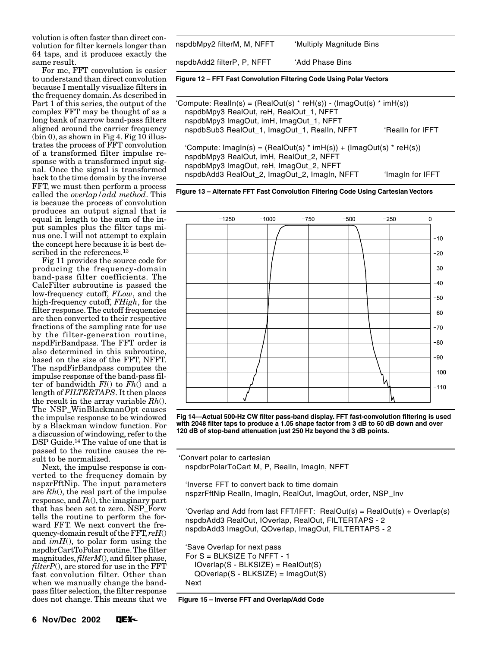volution is often faster than direct convolution for filter kernels longer than 64 taps, and it produces exactly the same result.

For me, FFT convolution is easier to understand than direct convolution because I mentally visualize filters in the frequency domain. As described in Part 1 of this series, the output of the complex FFT may be thought of as a long bank of narrow band-pass filters aligned around the carrier frequency  $(bin 0)$ , as shown in Fig 4. Fig 10 illustrates the process of FFT convolution of a transformed filter impulse response with a transformed input signal. Once the signal is transformed back to the time domain by the inverse FFT, we must then perform a process called the *overlap/add method*. This is because the process of convolution produces an output signal that is equal in length to the sum of the input samples plus the filter taps minus one. I will not attempt to explain the concept here because it is best described in the references.<sup>13</sup>

Fig 11 provides the source code for producing the frequency-domain band-pass filter coefficients. The CalcFilter subroutine is passed the low-frequency cutoff, *FLow*, and the high-frequency cutoff, *FHigh*, for the filter response. The cutoff frequencies are then converted to their respective fractions of the sampling rate for use by the filter-generation routine, nspdFirBandpass. The FFT order is also determined in this subroutine, based on the size of the FFT, NFFT. The nspdFirBandpass computes the impulse response of the band-pass filter of bandwidth *Fl*() to *Fh*() and a length of *FILTERTAPS*. It then places the result in the array variable *Rh*(). The NSP\_WinBlackmanOpt causes the impulse response to be windowed by a Blackman window function. For a discussion of windowing, refer to the DSP Guide.<sup>14</sup> The value of one that is passed to the routine causes the result to be normalized.

Next, the impulse response is converted to the frequency domain by nspzrFftNip. The input parameters are *Rh*(), the real part of the impulse response, and *Ih*(), the imaginary part that has been set to zero. NSP\_Forw tells the routine to perform the forward FFT. We next convert the frequency-domain result of the FFT, *reH*() and *imH*(), to polar form using the nspdbrCartToPolar routine. The filter magnitudes, *filterM*(), and filter phase, *filterP*(), are stored for use in the FFT fast convolution filter. Other than when we manually change the bandpass filter selection, the filter response does not change. This means that we

| Figure 12 – FFT Fast Convolution Filtering Code Using Polar Vectors |                          |  |  |
|---------------------------------------------------------------------|--------------------------|--|--|
| nspdbAdd2 filterP, P, NFFT_                                         | 'Add Phase Bins          |  |  |
| nspdbMpy2 filterM, M, NFFT_                                         | 'Multiply Magnitude Bins |  |  |

| 'Compute: RealIn(s) = (RealOut(s) * reH(s)) - (ImagOut(s) * imH(s))<br>nspdbMpy3 RealOut, reH, RealOut_1, NFFT<br>nspdbMpy3 ImagOut, imH, ImagOut_1, NFFT                                                                        |  |
|----------------------------------------------------------------------------------------------------------------------------------------------------------------------------------------------------------------------------------|--|
| nspdbSub3 RealOut_1, ImagOut_1, RealIn, NFFT<br>'Realln for IFFT                                                                                                                                                                 |  |
| 'Compute: $ImagIn(s) = (RealOut(s) * imH(s)) + (ImagOut(s) * relH(s))$<br>nspdbMpy3 RealOut, imH, RealOut_2, NFFT<br>nspdbMpy3 ImagOut, reH, ImagOut_2, NFFT<br>nspdbAdd3 RealOut_2, ImagOut_2, ImagIn, NFFT<br>'Imagin for IFFT |  |

**Figure 13 – Alternate FFT Fast Convolution Filtering Code Using Cartesian Vectors**



**Fig 14—Actual 500-Hz CW filter pass-band display. FFT fast-convolution filtering is used with 2048 filter taps to produce a 1.05 shape factor from 3 dB to 60 dB down and over 120 dB of stop-band attenuation just 250 Hz beyond the 3 dB points.**

 'Convert polar to cartesian nspdbrPolarToCart M, P, RealIn, ImagIn, NFFT

 'Inverse FFT to convert back to time domain nspzrFftNip RealIn, ImagIn, RealOut, ImagOut, order, NSP\_Inv

'Overlap and Add from last  $FFT/IFFT$ : RealOut(s) = RealOut(s) + Overlap(s) nspdbAdd3 RealOut, IOverlap, RealOut, FILTERTAPS - 2 nspdbAdd3 ImagOut, QOverlap, ImagOut, FILTERTAPS - 2

 'Save Overlap for next pass For S = BLKSIZE To NFFT - 1 IOverlap(S - BLKSIZE) = RealOut(S) QOverlap(S - BLKSIZE) = ImagOut(S) Next

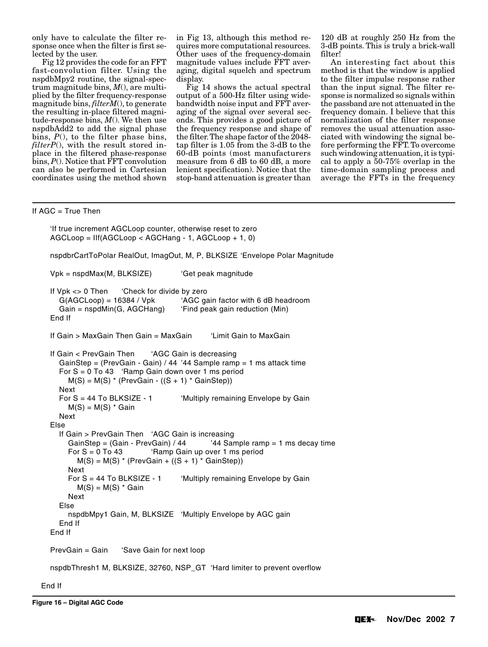only have to calculate the filter response once when the filter is first selected by the user.

Fig 12 provides the code for an FFT fast-convolution filter. Using the nspdbMpy2 routine, the signal-spectrum magnitude bins, *M*(), are multiplied by the filter frequency-response magnitude bins, *filterM*(), to generate the resulting in-place filtered magnitude-response bins, *M*(). We then use nspdbAdd2 to add the signal phase bins, *P*(), to the filter phase bins, *filterP*(), with the result stored inplace in the filtered phase-response bins, *P*(). Notice that FFT convolution can also be performed in Cartesian coordinates using the method shown

in Fig 13, although this method requires more computational resources. Other uses of the frequency-domain magnitude values include FFT averaging, digital squelch and spectrum display.

Fig 14 shows the actual spectral output of a 500-Hz filter using widebandwidth noise input and FFT averaging of the signal over several seconds. This provides a good picture of the frequency response and shape of the filter. The shape factor of the 2048 tap filter is 1.05 from the 3-dB to the 60-dB points (most manufacturers measure from 6 dB to 60 dB, a more lenient specification). Notice that the stop-band attenuation is greater than 120 dB at roughly 250 Hz from the 3-dB points. This is truly a brick-wall filter!

An interesting fact about this method is that the window is applied to the filter impulse response rather than the input signal. The filter response is normalized so signals within the passband are not attenuated in the frequency domain. I believe that this normalization of the filter response removes the usual attenuation associated with windowing the signal before performing the FFT. To overcome such windowing attenuation, it is typical to apply a 50-75% overlap in the time-domain sampling process and average the FFTs in the frequency

### If AGC = True Then

```
 'If true increment AGCLoop counter, otherwise reset to zero
AGCLoop = IIf(AGCLoop < AGCHang - 1, AGCLoop + 1, 0)
nspdbrCartToPolar RealOut, ImagOut, M, P, BLKSIZE 'Envelope Polar Magnitude
Vpk = nspdMax(M, BLKSIZE) 'Get peak magnitude
If Vpk <> 0 Then 'Check for divide by zero
 G(AGCLoop) = 16384 / Vpk 'AGC gain factor with 6 dB headroom
  Gain = nspdMin(G, AGCHang) 'Find peak gain reduction (Min)
End If
If Gain > MaxGain Then Gain = MaxGain 'Limit Gain to MaxGain
If Gain < PrevGain Then 'AGC Gain is decreasing
  GainStep = (PrevGain - Gain) / 44 '44 Sample ramp = 1 ms attack time
  For S = 0 To 43 'Ramp Gain down over 1 ms period
   M(S) = M(S) * (PrevGain - ((S + 1) * GainStep)) Next
 For S = 44 To BLKSIZE - 1 'Multiply remaining Envelope by Gain
   M(S) = M(S) * Gain Next
Else
  If Gain > PrevGain Then 'AGC Gain is increasing
   GainStep = (Gain - PrevGain) / 44 '44 Sample ramp = 1 ms decay time
    For S = 0 To 43 'Ramp Gain up over 1 ms period
      M(S) = M(S) * (PrevGain + ((S + 1) * GainStep)) Next
   For S = 44 To BLKSIZE - 1 'Multiply remaining Envelope by Gain
     M(S) = M(S) * Gain
    Next
  Else
    nspdbMpy1 Gain, M, BLKSIZE 'Multiply Envelope by AGC gain
  End If
End If
PrevGain = Gain 'Save Gain for next loop
nspdbThresh1 M, BLKSIZE, 32760, NSP_GT 'Hard limiter to prevent overflow
```
End If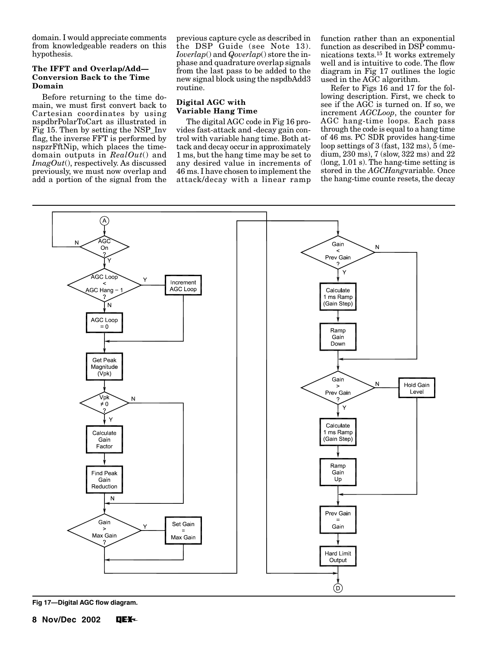domain. I would appreciate comments from knowledgeable readers on this hypothesis.

#### **The IFFT and Overlap/Add— Conversion Back to the Time Domain**

Before returning to the time domain, we must first convert back to Cartesian coordinates by using nspdbrPolarToCart as illustrated in Fig 15. Then by setting the NSP\_Inv flag, the inverse FFT is performed by nspzrFftNip, which places the timedomain outputs in *RealOut*() and *ImagOut*(), respectively. As discussed previously, we must now overlap and add a portion of the signal from the

previous capture cycle as described in the DSP Guide (see Note 13). *Ioverlap*() and *Qoverlap*() store the inphase and quadrature overlap signals from the last pass to be added to the new signal block using the nspdbAdd3 routine.

# **Digital AGC with Variable Hang Time**

The digital AGC code in Fig 16 provides fast-attack and -decay gain control with variable hang time. Both attack and decay occur in approximately 1 ms, but the hang time may be set to any desired value in increments of 46 ms. I have chosen to implement the attack/decay with a linear ramp function rather than an exponential function as described in DSP communications texts.15 It works extremely well and is intuitive to code. The flow diagram in Fig 17 outlines the logic used in the AGC algorithm.

Refer to Figs 16 and 17 for the following description. First, we check to see if the AGC is turned on. If so, we increment *AGCLoop*, the counter for AGC hang-time loops. Each pass through the code is equal to a hang time of 46 ms. PC SDR provides hang-time loop settings of 3 (fast, 132 ms), 5 (medium, 230 ms), 7 (slow, 322 ms) and 22 (long, 1.01 s). The hang-time setting is stored in the *AGCHang*variable. Once the hang-time counte resets, the decay



**Fig 17—Digital AGC flow diagram.**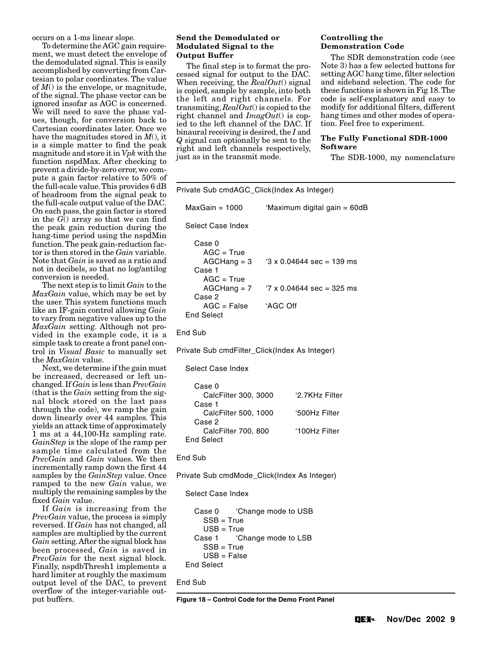occurs on a 1-ms linear slope.

To determine the AGC gain requirement, we must detect the envelope of the demodulated signal. This is easily accomplished by converting from Cartesian to polar coordinates. The value of *M*() is the envelope, or magnitude, of the signal. The phase vector can be ignored insofar as AGC is concerned. We will need to save the phase values, though, for conversion back to Cartesian coordinates later. Once we have the magnitudes stored in *M*(), it is a simple matter to find the peak magnitude and store it in *Vpk* with the function nspdMax. After checking to prevent a divide-by-zero error, we compute a gain factor relative to 50% of the full-scale value. This provides 6 dB of headroom from the signal peak to the full-scale output value of the DAC. On each pass, the gain factor is stored in the *G*() array so that we can find the peak gain reduction during the hang-time period using the nspdMin function. The peak gain-reduction factor is then stored in the *Gain* variable. Note that *Gain* is saved as a ratio and not in decibels, so that no log/antilog conversion is needed.

The next step is to limit *Gain* to the *MaxGain* value, which may be set by the user. This system functions much like an IF-gain control allowing *Gain* to vary from negative values up to the *MaxGain* setting. Although not provided in the example code, it is a simple task to create a front panel control in *Visual Basic* to manually set the *MaxGain* value.

Next, we determine if the gain must be increased, decreased or left unchanged. If *Gain* is less than *PrevGain* (that is the *Gain* setting from the signal block stored on the last pass through the code), we ramp the gain down linearly over 44 samples. This yields an attack time of approximately 1 ms at a 44,100-Hz sampling rate. *GainStep* is the slope of the ramp per sample time calculated from the *PrevGain* and *Gain* values. We then incrementally ramp down the first 44 samples by the *GainStep* value. Once ramped to the new *Gain* value, we multiply the remaining samples by the fixed *Gain* value.

If *Gain* is increasing from the *PrevGain* value, the process is simply reversed. If *Gain* has not changed, all samples are multiplied by the current *Gain* setting. After the signal block has been processed, *Gain* is saved in *PrevGain* for the next signal block. Finally, nspdbThresh1 implements a hard limiter at roughly the maximum output level of the DAC, to prevent overflow of the integer-variable output buffers.

#### **Send the Demodulated or Modulated Signal to the Output Buffer**

The final step is to format the processed signal for output to the DAC. When receiving, the *RealOut*() signal is copied, sample by sample, into both the left and right channels. For transmiting, *RealOut*() is copied to the right channel and *ImagOut*() is copied to the left channel of the DAC. If binaural receiving is desired, the *I* and *Q* signal can optionally be sent to the right and left channels respectively, just as in the transmit mode.

# **Controlling the Demonstration Code**

The SDR demonstration code (see Note 3) has a few selected buttons for setting AGC hang time, filter selection and sideband selection. The code for these functions is shown in Fig 18. The code is self-explanatory and easy to modify for additional filters, different hang times and other modes of operation. Feel free to experiment.

# **The Fully Functional SDR-1000 Software**

The SDR-1000, my nomenclature

| Private Sub cmdAGC_Click(Index As Integer)                                                                                                           |                                                                                |  |  |
|------------------------------------------------------------------------------------------------------------------------------------------------------|--------------------------------------------------------------------------------|--|--|
| MaxGain = 1000                                                                                                                                       | 'Maximum digital gain = 60dB                                                   |  |  |
| Select Case Index                                                                                                                                    |                                                                                |  |  |
| Case 0<br>$AGC = True$<br>$AGCHang = 3$<br>Case 1<br>$AGC = True$<br>$AGCHang = 7$<br>Case 2<br>$AGC = False$<br><b>End Select</b>                   | $3 \times 0.04644$ sec = 139 ms<br>$7 \times 0.04644$ sec = 325 ms<br>'AGC Off |  |  |
| End Sub                                                                                                                                              |                                                                                |  |  |
| Private Sub cmdFilter_Click(Index As Integer)                                                                                                        |                                                                                |  |  |
| Select Case Index                                                                                                                                    |                                                                                |  |  |
| Case 0<br>CalcFilter 300, 3000<br>Case 1<br>CalcFilter 500, 1000<br>Case 2<br>CalcFilter 700, 800<br><b>End Select</b>                               | '2.7KHz Filter<br>'500Hz Filter<br>'100Hz Filter                               |  |  |
| End Sub                                                                                                                                              |                                                                                |  |  |
| Private Sub cmdMode_Click(Index As Integer)<br>Select Case Index                                                                                     |                                                                                |  |  |
| 'Change mode to USB<br>Case 0<br>$SSB = True$<br>$USB = True$<br>'Change mode to LSB<br>Case 1<br>$SSB = True$<br>$USB = False$<br><b>End Select</b> |                                                                                |  |  |
| End Sub                                                                                                                                              |                                                                                |  |  |
|                                                                                                                                                      | Figure 18 - Control Code for the Demo Front Panel                              |  |  |